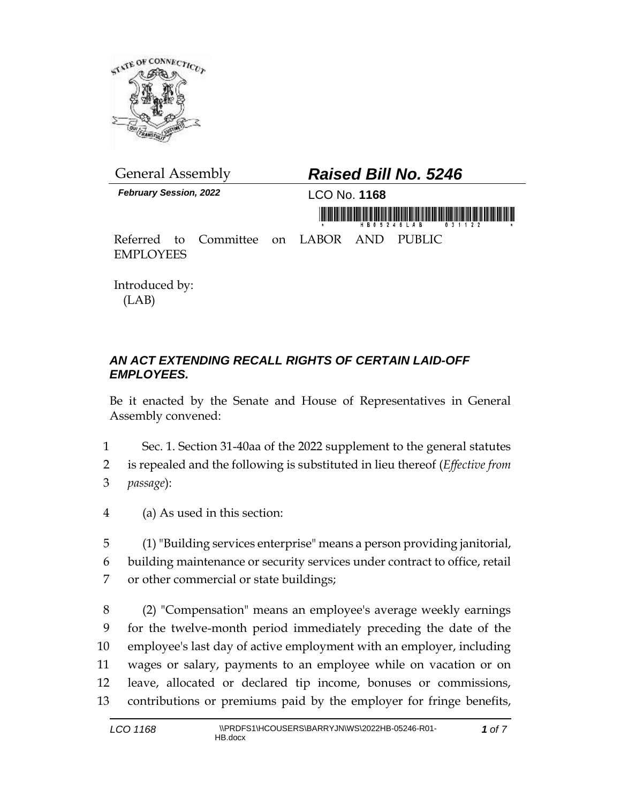

*February Session, 2022* LCO No. **1168**

## General Assembly *Raised Bill No. 5246*

mühörönönönönönönönön munkaikoinin önön munnain

Referred to Committee on LABOR AND PUBLIC EMPLOYEES

Introduced by: (LAB)

## *AN ACT EXTENDING RECALL RIGHTS OF CERTAIN LAID-OFF EMPLOYEES.*

Be it enacted by the Senate and House of Representatives in General Assembly convened:

- 1 Sec. 1. Section 31-40aa of the 2022 supplement to the general statutes 2 is repealed and the following is substituted in lieu thereof (*Effective from*  3 *passage*):
- 4 (a) As used in this section:

5 (1) "Building services enterprise" means a person providing janitorial, 6 building maintenance or security services under contract to office, retail 7 or other commercial or state buildings;

 (2) "Compensation" means an employee's average weekly earnings for the twelve-month period immediately preceding the date of the employee's last day of active employment with an employer, including wages or salary, payments to an employee while on vacation or on leave, allocated or declared tip income, bonuses or commissions, contributions or premiums paid by the employer for fringe benefits,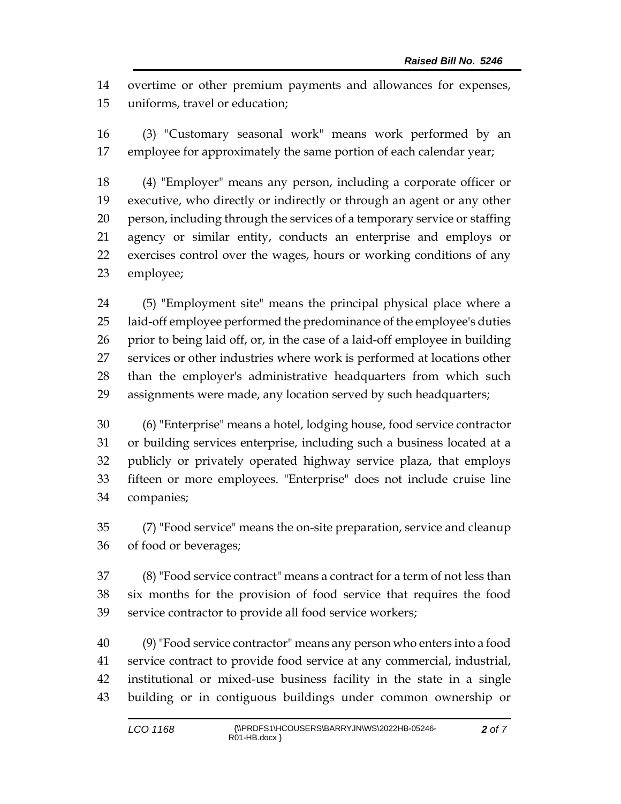overtime or other premium payments and allowances for expenses, uniforms, travel or education;

 (3) "Customary seasonal work" means work performed by an employee for approximately the same portion of each calendar year;

 (4) "Employer" means any person, including a corporate officer or executive, who directly or indirectly or through an agent or any other person, including through the services of a temporary service or staffing agency or similar entity, conducts an enterprise and employs or exercises control over the wages, hours or working conditions of any employee;

 (5) "Employment site" means the principal physical place where a laid-off employee performed the predominance of the employee's duties prior to being laid off, or, in the case of a laid-off employee in building services or other industries where work is performed at locations other than the employer's administrative headquarters from which such assignments were made, any location served by such headquarters;

 (6) "Enterprise" means a hotel, lodging house, food service contractor or building services enterprise, including such a business located at a publicly or privately operated highway service plaza, that employs fifteen or more employees. "Enterprise" does not include cruise line companies;

 (7) "Food service" means the on-site preparation, service and cleanup of food or beverages;

 (8) "Food service contract" means a contract for a term of not less than six months for the provision of food service that requires the food service contractor to provide all food service workers;

 (9)"Food service contractor" means any person who enters into a food service contract to provide food service at any commercial, industrial, institutional or mixed-use business facility in the state in a single building or in contiguous buildings under common ownership or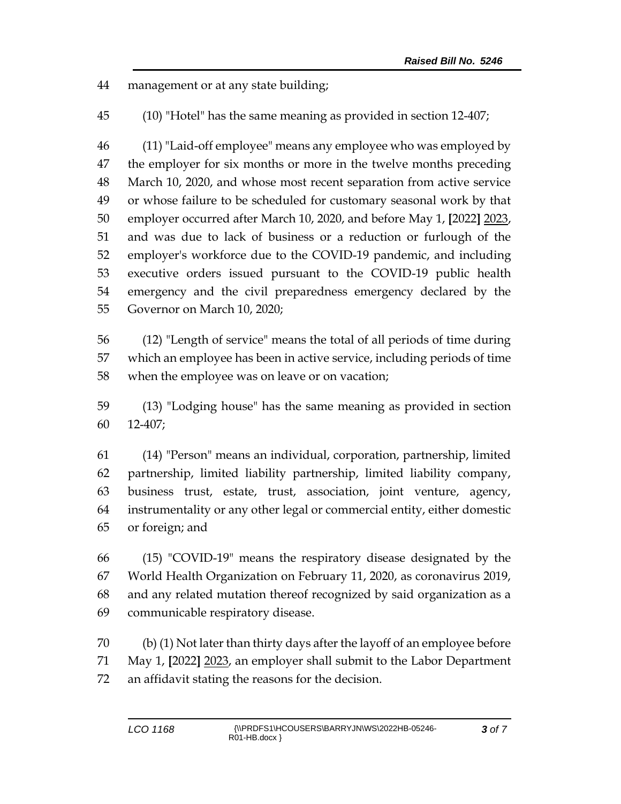management or at any state building;

(10) "Hotel" has the same meaning as provided in section 12-407;

 (11) "Laid-off employee" means any employee who was employed by the employer for six months or more in the twelve months preceding March 10, 2020, and whose most recent separation from active service or whose failure to be scheduled for customary seasonal work by that employer occurred after March 10, 2020, and before May 1, **[**2022**]** 2023, and was due to lack of business or a reduction or furlough of the employer's workforce due to the COVID-19 pandemic, and including executive orders issued pursuant to the COVID-19 public health emergency and the civil preparedness emergency declared by the Governor on March 10, 2020;

 (12) "Length of service" means the total of all periods of time during which an employee has been in active service, including periods of time when the employee was on leave or on vacation;

 (13) "Lodging house" has the same meaning as provided in section 12-407;

 (14) "Person" means an individual, corporation, partnership, limited partnership, limited liability partnership, limited liability company, business trust, estate, trust, association, joint venture, agency, instrumentality or any other legal or commercial entity, either domestic or foreign; and

 (15) "COVID-19" means the respiratory disease designated by the World Health Organization on February 11, 2020, as coronavirus 2019, and any related mutation thereof recognized by said organization as a communicable respiratory disease.

 (b) (1) Not later than thirty days after the layoff of an employee before May 1, **[**2022**]** 2023, an employer shall submit to the Labor Department an affidavit stating the reasons for the decision.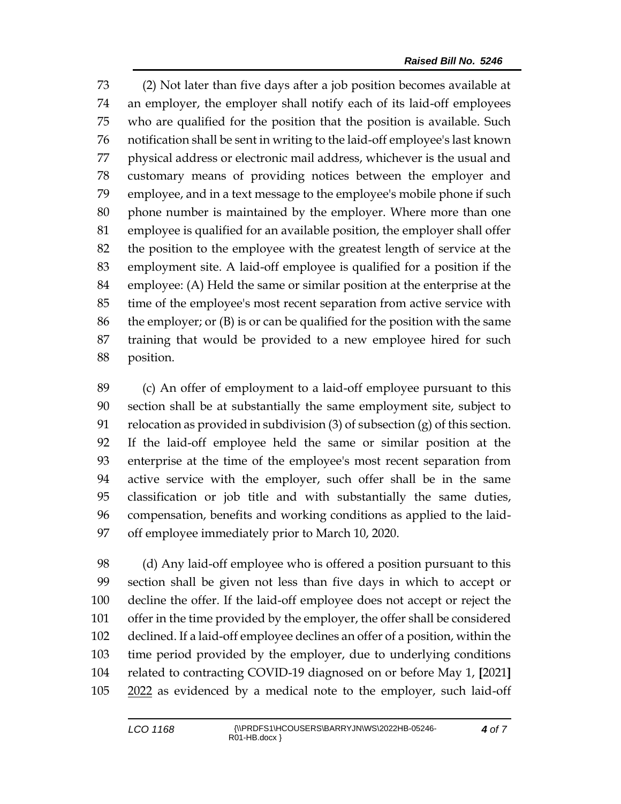(2) Not later than five days after a job position becomes available at an employer, the employer shall notify each of its laid-off employees who are qualified for the position that the position is available. Such notification shall be sent in writing to the laid-off employee's last known physical address or electronic mail address, whichever is the usual and customary means of providing notices between the employer and employee, and in a text message to the employee's mobile phone if such phone number is maintained by the employer. Where more than one employee is qualified for an available position, the employer shall offer the position to the employee with the greatest length of service at the employment site. A laid-off employee is qualified for a position if the employee: (A) Held the same or similar position at the enterprise at the time of the employee's most recent separation from active service with the employer; or (B) is or can be qualified for the position with the same training that would be provided to a new employee hired for such position.

 (c) An offer of employment to a laid-off employee pursuant to this section shall be at substantially the same employment site, subject to relocation as provided in subdivision (3) of subsection (g) of this section. If the laid-off employee held the same or similar position at the enterprise at the time of the employee's most recent separation from active service with the employer, such offer shall be in the same classification or job title and with substantially the same duties, compensation, benefits and working conditions as applied to the laid-off employee immediately prior to March 10, 2020.

 (d) Any laid-off employee who is offered a position pursuant to this section shall be given not less than five days in which to accept or decline the offer. If the laid-off employee does not accept or reject the offer in the time provided by the employer, the offer shall be considered declined. If a laid-off employee declines an offer of a position, within the time period provided by the employer, due to underlying conditions related to contracting COVID-19 diagnosed on or before May 1, **[**2021**]** 105 2022 as evidenced by a medical note to the employer, such laid-off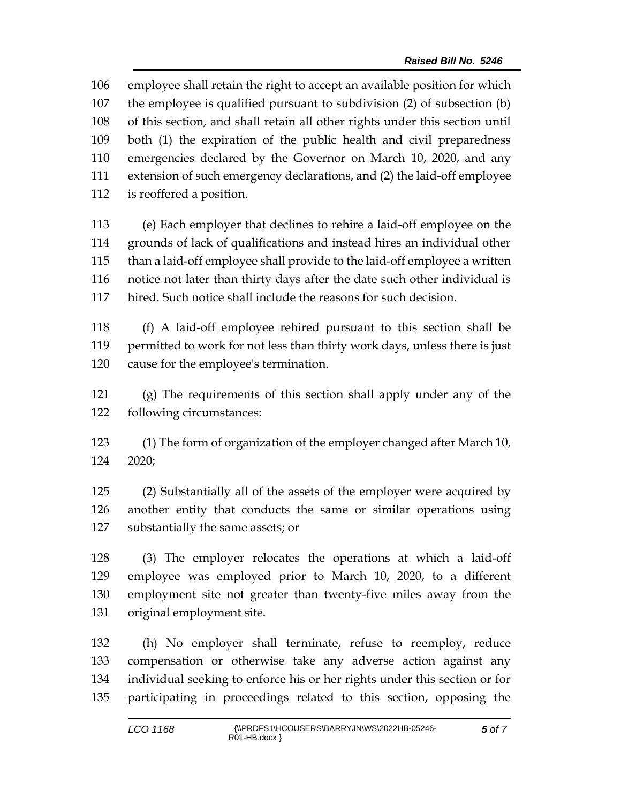employee shall retain the right to accept an available position for which the employee is qualified pursuant to subdivision (2) of subsection (b) of this section, and shall retain all other rights under this section until both (1) the expiration of the public health and civil preparedness emergencies declared by the Governor on March 10, 2020, and any extension of such emergency declarations, and (2) the laid-off employee is reoffered a position.

 (e) Each employer that declines to rehire a laid-off employee on the grounds of lack of qualifications and instead hires an individual other than a laid-off employee shall provide to the laid-off employee a written notice not later than thirty days after the date such other individual is hired. Such notice shall include the reasons for such decision.

 (f) A laid-off employee rehired pursuant to this section shall be permitted to work for not less than thirty work days, unless there is just cause for the employee's termination.

 (g) The requirements of this section shall apply under any of the following circumstances:

 (1) The form of organization of the employer changed after March 10, 2020;

 (2) Substantially all of the assets of the employer were acquired by another entity that conducts the same or similar operations using substantially the same assets; or

 (3) The employer relocates the operations at which a laid-off employee was employed prior to March 10, 2020, to a different employment site not greater than twenty-five miles away from the original employment site.

 (h) No employer shall terminate, refuse to reemploy, reduce compensation or otherwise take any adverse action against any individual seeking to enforce his or her rights under this section or for participating in proceedings related to this section, opposing the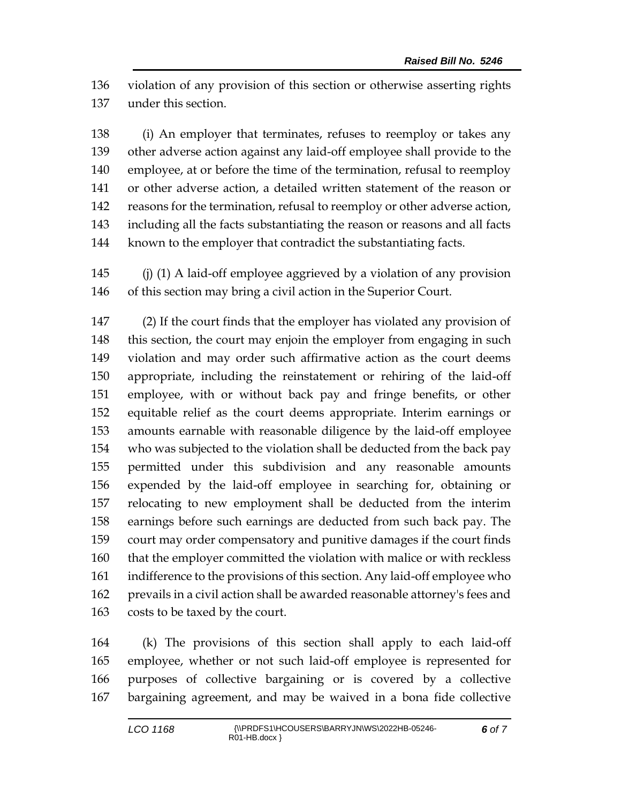violation of any provision of this section or otherwise asserting rights under this section.

 (i) An employer that terminates, refuses to reemploy or takes any other adverse action against any laid-off employee shall provide to the employee, at or before the time of the termination, refusal to reemploy or other adverse action, a detailed written statement of the reason or reasons for the termination, refusal to reemploy or other adverse action, including all the facts substantiating the reason or reasons and all facts known to the employer that contradict the substantiating facts.

 (j) (1) A laid-off employee aggrieved by a violation of any provision of this section may bring a civil action in the Superior Court.

 (2) If the court finds that the employer has violated any provision of this section, the court may enjoin the employer from engaging in such violation and may order such affirmative action as the court deems appropriate, including the reinstatement or rehiring of the laid-off employee, with or without back pay and fringe benefits, or other equitable relief as the court deems appropriate. Interim earnings or amounts earnable with reasonable diligence by the laid-off employee who was subjected to the violation shall be deducted from the back pay permitted under this subdivision and any reasonable amounts expended by the laid-off employee in searching for, obtaining or relocating to new employment shall be deducted from the interim earnings before such earnings are deducted from such back pay. The court may order compensatory and punitive damages if the court finds that the employer committed the violation with malice or with reckless indifference to the provisions of this section. Any laid-off employee who prevails in a civil action shall be awarded reasonable attorney's fees and costs to be taxed by the court.

 (k) The provisions of this section shall apply to each laid-off employee, whether or not such laid-off employee is represented for purposes of collective bargaining or is covered by a collective bargaining agreement, and may be waived in a bona fide collective